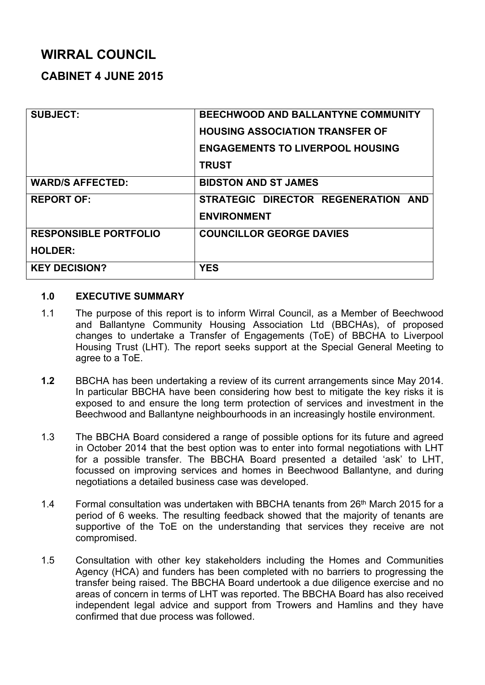# **WIRRAL COUNCIL**

# **CABINET 4 JUNE 2015**

| <b>SUBJECT:</b>              | <b>BEECHWOOD AND BALLANTYNE COMMUNITY</b> |
|------------------------------|-------------------------------------------|
|                              | <b>HOUSING ASSOCIATION TRANSFER OF</b>    |
|                              | <b>ENGAGEMENTS TO LIVERPOOL HOUSING</b>   |
|                              | <b>TRUST</b>                              |
| <b>WARD/S AFFECTED:</b>      | <b>BIDSTON AND ST JAMES</b>               |
| <b>REPORT OF:</b>            | STRATEGIC DIRECTOR REGENERATION AND       |
|                              | <b>ENVIRONMENT</b>                        |
| <b>RESPONSIBLE PORTFOLIO</b> | <b>COUNCILLOR GEORGE DAVIES</b>           |
| <b>HOLDER:</b>               |                                           |
| <b>KEY DECISION?</b>         | <b>YES</b>                                |

#### **1.0 EXECUTIVE SUMMARY**

- 1.1 The purpose of this report is to inform Wirral Council, as a Member of Beechwood and Ballantyne Community Housing Association Ltd (BBCHAs), of proposed changes to undertake a Transfer of Engagements (ToE) of BBCHA to Liverpool Housing Trust (LHT). The report seeks support at the Special General Meeting to agree to a ToE.
- **1.2** BBCHA has been undertaking a review of its current arrangements since May 2014. In particular BBCHA have been considering how best to mitigate the key risks it is exposed to and ensure the long term protection of services and investment in the Beechwood and Ballantyne neighbourhoods in an increasingly hostile environment.
- 1.3 The BBCHA Board considered a range of possible options for its future and agreed in October 2014 that the best option was to enter into formal negotiations with LHT for a possible transfer. The BBCHA Board presented a detailed 'ask' to LHT, focussed on improving services and homes in Beechwood Ballantyne, and during negotiations a detailed business case was developed.
- 1.4 Formal consultation was undertaken with BBCHA tenants from 26<sup>th</sup> March 2015 for a period of 6 weeks. The resulting feedback showed that the majority of tenants are supportive of the ToE on the understanding that services they receive are not compromised.
- 1.5 Consultation with other key stakeholders including the Homes and Communities Agency (HCA) and funders has been completed with no barriers to progressing the transfer being raised. The BBCHA Board undertook a due diligence exercise and no areas of concern in terms of LHT was reported. The BBCHA Board has also received independent legal advice and support from Trowers and Hamlins and they have confirmed that due process was followed.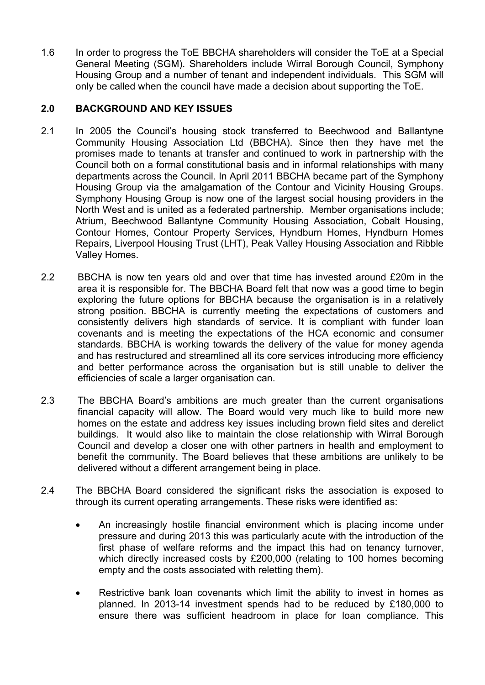1.6 In order to progress the ToE BBCHA shareholders will consider the ToE at a Special General Meeting (SGM). Shareholders include Wirral Borough Council, Symphony Housing Group and a number of tenant and independent individuals. This SGM will only be called when the council have made a decision about supporting the ToE.

# **2.0 BACKGROUND AND KEY ISSUES**

- 2.1 In 2005 the Council's housing stock transferred to Beechwood and Ballantyne Community Housing Association Ltd (BBCHA). Since then they have met the promises made to tenants at transfer and continued to work in partnership with the Council both on a formal constitutional basis and in informal relationships with many departments across the Council. In April 2011 BBCHA became part of the Symphony Housing Group via the amalgamation of the Contour and Vicinity Housing Groups. Symphony Housing Group is now one of the largest social housing providers in the North West and is united as a federated partnership. Member organisations include; Atrium, Beechwood Ballantyne Community Housing Association, Cobalt Housing, Contour Homes, Contour Property Services, Hyndburn Homes, Hyndburn Homes Repairs, Liverpool Housing Trust (LHT), Peak Valley Housing Association and Ribble Valley Homes.
- 2.2 BBCHA is now ten years old and over that time has invested around £20m in the area it is responsible for. The BBCHA Board felt that now was a good time to begin exploring the future options for BBCHA because the organisation is in a relatively strong position. BBCHA is currently meeting the expectations of customers and consistently delivers high standards of service. It is compliant with funder loan covenants and is meeting the expectations of the HCA economic and consumer standards. BBCHA is working towards the delivery of the value for money agenda and has restructured and streamlined all its core services introducing more efficiency and better performance across the organisation but is still unable to deliver the efficiencies of scale a larger organisation can.
- 2.3 The BBCHA Board's ambitions are much greater than the current organisations financial capacity will allow. The Board would very much like to build more new homes on the estate and address key issues including brown field sites and derelict buildings. It would also like to maintain the close relationship with Wirral Borough Council and develop a closer one with other partners in health and employment to benefit the community. The Board believes that these ambitions are unlikely to be delivered without a different arrangement being in place.
- 2.4 The BBCHA Board considered the significant risks the association is exposed to through its current operating arrangements. These risks were identified as:
	- An increasingly hostile financial environment which is placing income under pressure and during 2013 this was particularly acute with the introduction of the first phase of welfare reforms and the impact this had on tenancy turnover, which directly increased costs by £200,000 (relating to 100 homes becoming empty and the costs associated with reletting them).
	- Restrictive bank loan covenants which limit the ability to invest in homes as planned. In 2013-14 investment spends had to be reduced by £180,000 to ensure there was sufficient headroom in place for loan compliance. This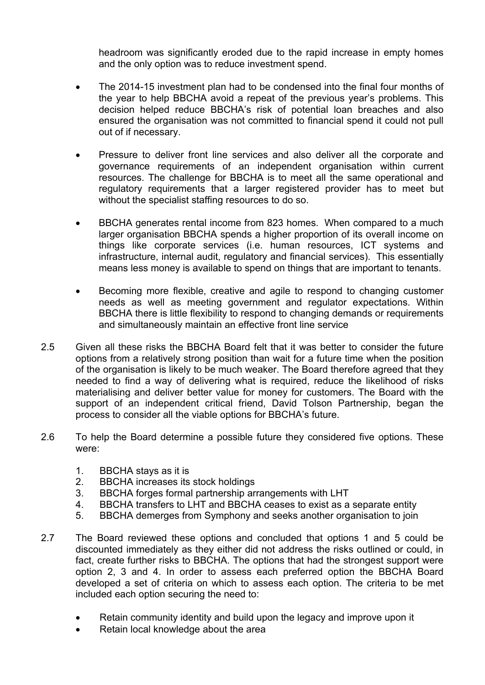headroom was significantly eroded due to the rapid increase in empty homes and the only option was to reduce investment spend.

- The 2014-15 investment plan had to be condensed into the final four months of the year to help BBCHA avoid a repeat of the previous year's problems. This decision helped reduce BBCHA's risk of potential loan breaches and also ensured the organisation was not committed to financial spend it could not pull out of if necessary.
- Pressure to deliver front line services and also deliver all the corporate and governance requirements of an independent organisation within current resources. The challenge for BBCHA is to meet all the same operational and regulatory requirements that a larger registered provider has to meet but without the specialist staffing resources to do so.
- BBCHA generates rental income from 823 homes. When compared to a much larger organisation BBCHA spends a higher proportion of its overall income on things like corporate services (i.e. human resources, ICT systems and infrastructure, internal audit, regulatory and financial services). This essentially means less money is available to spend on things that are important to tenants.
- Becoming more flexible, creative and agile to respond to changing customer needs as well as meeting government and regulator expectations. Within BBCHA there is little flexibility to respond to changing demands or requirements and simultaneously maintain an effective front line service
- 2.5 Given all these risks the BBCHA Board felt that it was better to consider the future options from a relatively strong position than wait for a future time when the position of the organisation is likely to be much weaker. The Board therefore agreed that they needed to find a way of delivering what is required, reduce the likelihood of risks materialising and deliver better value for money for customers. The Board with the support of an independent critical friend, David Tolson Partnership, began the process to consider all the viable options for BBCHA's future.
- 2.6 To help the Board determine a possible future they considered five options. These were:
	- 1. BBCHA stays as it is
	- 2. BBCHA increases its stock holdings
	- 3. BBCHA forges formal partnership arrangements with LHT
	- 4. BBCHA transfers to LHT and BBCHA ceases to exist as a separate entity
	- 5. BBCHA demerges from Symphony and seeks another organisation to join
- 2.7 The Board reviewed these options and concluded that options 1 and 5 could be discounted immediately as they either did not address the risks outlined or could, in fact, create further risks to BBCHA. The options that had the strongest support were option 2, 3 and 4. In order to assess each preferred option the BBCHA Board developed a set of criteria on which to assess each option. The criteria to be met included each option securing the need to:
	- Retain community identity and build upon the legacy and improve upon it
	- Retain local knowledge about the area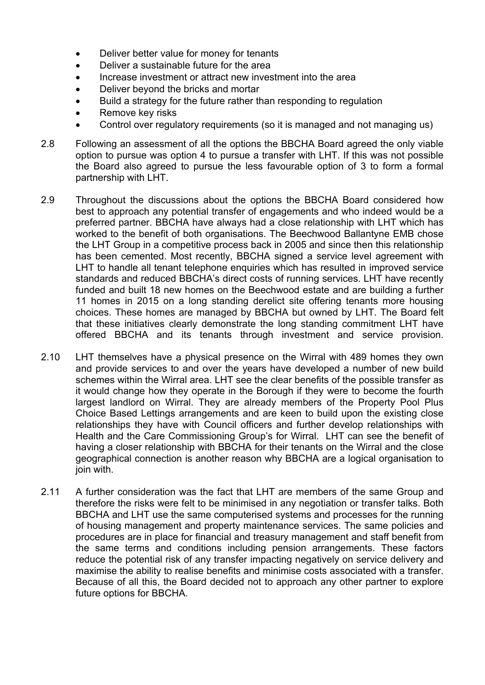- Deliver better value for money for tenants
- Deliver a sustainable future for the area
- Increase investment or attract new investment into the area
- Deliver beyond the bricks and mortar
- Build a strategy for the future rather than responding to regulation
- Remove key risks
- Control over regulatory requirements (so it is managed and not managing us)
- 2.8 Following an assessment of all the options the BBCHA Board agreed the only viable option to pursue was option 4 to pursue a transfer with LHT. If this was not possible the Board also agreed to pursue the less favourable option of 3 to form a formal partnership with LHT.
- 2.9 Throughout the discussions about the options the BBCHA Board considered how best to approach any potential transfer of engagements and who indeed would be a preferred partner. BBCHA have always had a close relationship with LHT which has worked to the benefit of both organisations. The Beechwood Ballantyne EMB chose the LHT Group in a competitive process back in 2005 and since then this relationship has been cemented. Most recently, BBCHA signed a service level agreement with LHT to handle all tenant telephone enquiries which has resulted in improved service standards and reduced BBCHA's direct costs of running services. LHT have recently funded and built 18 new homes on the Beechwood estate and are building a further 11 homes in 2015 on a long standing derelict site offering tenants more housing choices. These homes are managed by BBCHA but owned by LHT. The Board felt that these initiatives clearly demonstrate the long standing commitment LHT have offered BBCHA and its tenants through investment and service provision.
- 2.10 LHT themselves have a physical presence on the Wirral with 489 homes they own and provide services to and over the years have developed a number of new build schemes within the Wirral area. LHT see the clear benefits of the possible transfer as it would change how they operate in the Borough if they were to become the fourth largest landlord on Wirral. They are already members of the Property Pool Plus Choice Based Lettings arrangements and are keen to build upon the existing close relationships they have with Council officers and further develop relationships with Health and the Care Commissioning Group's for Wirral. LHT can see the benefit of having a closer relationship with BBCHA for their tenants on the Wirral and the close geographical connection is another reason why BBCHA are a logical organisation to join with.
- 2.11 A further consideration was the fact that LHT are members of the same Group and therefore the risks were felt to be minimised in any negotiation or transfer talks. Both BBCHA and LHT use the same computerised systems and processes for the running of housing management and property maintenance services. The same policies and procedures are in place for financial and treasury management and staff benefit from the same terms and conditions including pension arrangements. These factors reduce the potential risk of any transfer impacting negatively on service delivery and maximise the ability to realise benefits and minimise costs associated with a transfer. Because of all this, the Board decided not to approach any other partner to explore future options for BBCHA.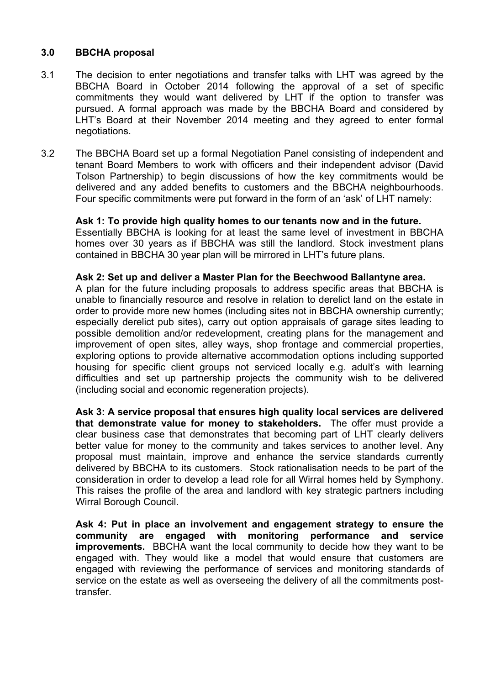# **3.0 BBCHA proposal**

- 3.1 The decision to enter negotiations and transfer talks with LHT was agreed by the BBCHA Board in October 2014 following the approval of a set of specific commitments they would want delivered by LHT if the option to transfer was pursued. A formal approach was made by the BBCHA Board and considered by LHT's Board at their November 2014 meeting and they agreed to enter formal negotiations.
- 3.2 The BBCHA Board set up a formal Negotiation Panel consisting of independent and tenant Board Members to work with officers and their independent advisor (David Tolson Partnership) to begin discussions of how the key commitments would be delivered and any added benefits to customers and the BBCHA neighbourhoods. Four specific commitments were put forward in the form of an 'ask' of LHT namely:

#### **Ask 1: To provide high quality homes to our tenants now and in the future.**

Essentially BBCHA is looking for at least the same level of investment in BBCHA homes over 30 years as if BBCHA was still the landlord. Stock investment plans contained in BBCHA 30 year plan will be mirrored in LHT's future plans.

#### **Ask 2: Set up and deliver a Master Plan for the Beechwood Ballantyne area.**

A plan for the future including proposals to address specific areas that BBCHA is unable to financially resource and resolve in relation to derelict land on the estate in order to provide more new homes (including sites not in BBCHA ownership currently; especially derelict pub sites), carry out option appraisals of garage sites leading to possible demolition and/or redevelopment, creating plans for the management and improvement of open sites, alley ways, shop frontage and commercial properties, exploring options to provide alternative accommodation options including supported housing for specific client groups not serviced locally e.g. adult's with learning difficulties and set up partnership projects the community wish to be delivered (including social and economic regeneration projects).

**Ask 3: A service proposal that ensures high quality local services are delivered that demonstrate value for money to stakeholders.** The offer must provide a clear business case that demonstrates that becoming part of LHT clearly delivers better value for money to the community and takes services to another level. Any proposal must maintain, improve and enhance the service standards currently delivered by BBCHA to its customers. Stock rationalisation needs to be part of the consideration in order to develop a lead role for all Wirral homes held by Symphony. This raises the profile of the area and landlord with key strategic partners including Wirral Borough Council.

**Ask 4: Put in place an involvement and engagement strategy to ensure the community are engaged with monitoring performance and service improvements.** BBCHA want the local community to decide how they want to be engaged with. They would like a model that would ensure that customers are engaged with reviewing the performance of services and monitoring standards of service on the estate as well as overseeing the delivery of all the commitments posttransfer.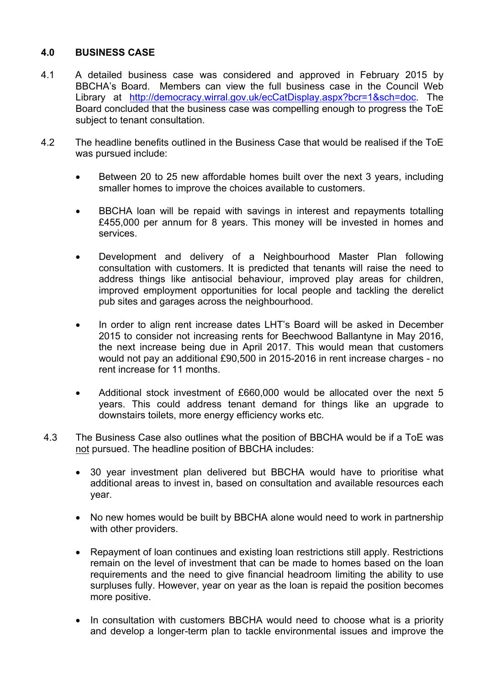# **4.0 BUSINESS CASE**

- 4.1 A detailed business case was considered and approved in February 2015 by BBCHA's Board. Members can view the full business case in the Council Web Library at <http://democracy.wirral.gov.uk/ecCatDisplay.aspx?bcr=1&sch=doc>. The Board concluded that the business case was compelling enough to progress the ToE subject to tenant consultation.
- 4.2 The headline benefits outlined in the Business Case that would be realised if the ToE was pursued include:
	- Between 20 to 25 new affordable homes built over the next 3 years, including smaller homes to improve the choices available to customers.
	- BBCHA loan will be repaid with savings in interest and repayments totalling £455,000 per annum for 8 years. This money will be invested in homes and services.
	- Development and delivery of a Neighbourhood Master Plan following consultation with customers. It is predicted that tenants will raise the need to address things like antisocial behaviour, improved play areas for children, improved employment opportunities for local people and tackling the derelict pub sites and garages across the neighbourhood.
	- In order to align rent increase dates LHT's Board will be asked in December 2015 to consider not increasing rents for Beechwood Ballantyne in May 2016, the next increase being due in April 2017. This would mean that customers would not pay an additional £90,500 in 2015-2016 in rent increase charges - no rent increase for 11 months.
	- Additional stock investment of £660,000 would be allocated over the next 5 years. This could address tenant demand for things like an upgrade to downstairs toilets, more energy efficiency works etc.
- 4.3 The Business Case also outlines what the position of BBCHA would be if a ToE was not pursued. The headline position of BBCHA includes:
	- 30 year investment plan delivered but BBCHA would have to prioritise what additional areas to invest in, based on consultation and available resources each year.
	- No new homes would be built by BBCHA alone would need to work in partnership with other providers.
	- Repayment of loan continues and existing loan restrictions still apply. Restrictions remain on the level of investment that can be made to homes based on the loan requirements and the need to give financial headroom limiting the ability to use surpluses fully. However, year on year as the loan is repaid the position becomes more positive.
	- In consultation with customers BBCHA would need to choose what is a priority and develop a longer-term plan to tackle environmental issues and improve the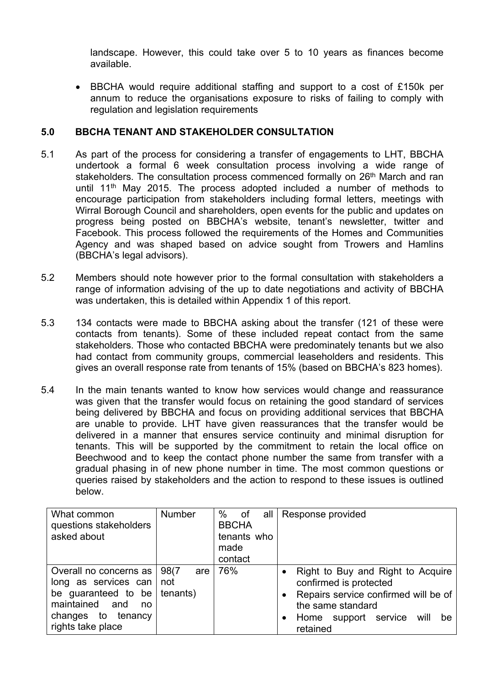landscape. However, this could take over 5 to 10 years as finances become available.

 BBCHA would require additional staffing and support to a cost of £150k per annum to reduce the organisations exposure to risks of failing to comply with regulation and legislation requirements

# **5.0 BBCHA TENANT AND STAKEHOLDER CONSULTATION**

- 5.1 As part of the process for considering a transfer of engagements to LHT, BBCHA undertook a formal 6 week consultation process involving a wide range of stakeholders. The consultation process commenced formally on 26<sup>th</sup> March and ran until 11<sup>th</sup> May 2015. The process adopted included a number of methods to encourage participation from stakeholders including formal letters, meetings with Wirral Borough Council and shareholders, open events for the public and updates on progress being posted on BBCHA's website, tenant's newsletter, twitter and Facebook. This process followed the requirements of the Homes and Communities Agency and was shaped based on advice sought from Trowers and Hamlins (BBCHA's legal advisors).
- 5.2 Members should note however prior to the formal consultation with stakeholders a range of information advising of the up to date negotiations and activity of BBCHA was undertaken, this is detailed within Appendix 1 of this report.
- 5.3 134 contacts were made to BBCHA asking about the transfer (121 of these were contacts from tenants). Some of these included repeat contact from the same stakeholders. Those who contacted BBCHA were predominately tenants but we also had contact from community groups, commercial leaseholders and residents. This gives an overall response rate from tenants of 15% (based on BBCHA's 823 homes).
- 5.4 In the main tenants wanted to know how services would change and reassurance was given that the transfer would focus on retaining the good standard of services being delivered by BBCHA and focus on providing additional services that BBCHA are unable to provide. LHT have given reassurances that the transfer would be delivered in a manner that ensures service continuity and minimal disruption for tenants. This will be supported by the commitment to retain the local office on Beechwood and to keep the contact phone number the same from transfer with a gradual phasing in of new phone number in time. The most common questions or queries raised by stakeholders and the action to respond to these issues is outlined below.

| What common<br>questions stakeholders<br>asked about                                                                                       | <b>Number</b>                  | %<br>all<br>of<br><b>BBCHA</b><br>tenants who<br>made<br>contact | Response provided                                                                                                                                                                       |
|--------------------------------------------------------------------------------------------------------------------------------------------|--------------------------------|------------------------------------------------------------------|-----------------------------------------------------------------------------------------------------------------------------------------------------------------------------------------|
| Overall no concerns as  <br>long as services can<br>be guaranteed to be<br>maintained and<br>no<br>changes to tenancy<br>rights take place | 98(7<br>are<br>not<br>tenants) | 76%                                                              | Right to Buy and Right to Acquire<br>confirmed is protected<br>Repairs service confirmed will be of<br>$\bullet$<br>the same standard<br>Home support service<br>will<br>be<br>retained |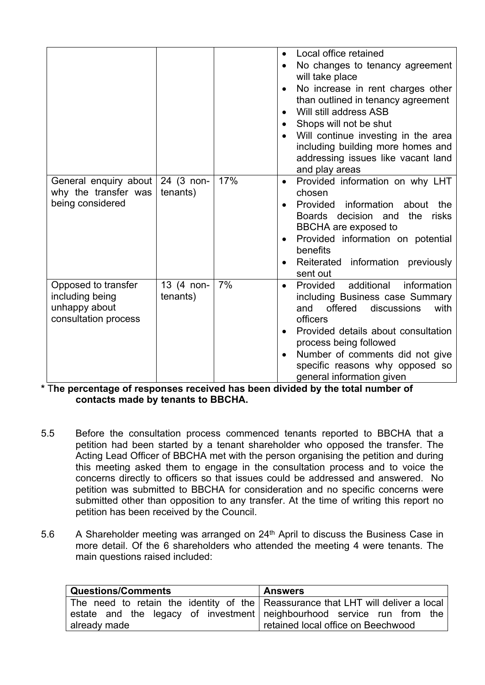|                                                                                 |                        |     | Local office retained<br>$\bullet$<br>No changes to tenancy agreement<br>$\bullet$<br>will take place<br>No increase in rent charges other<br>$\bullet$<br>than outlined in tenancy agreement<br>Will still address ASB<br>$\bullet$<br>Shops will not be shut<br>$\bullet$<br>Will continue investing in the area<br>including building more homes and<br>addressing issues like vacant land<br>and play areas |
|---------------------------------------------------------------------------------|------------------------|-----|-----------------------------------------------------------------------------------------------------------------------------------------------------------------------------------------------------------------------------------------------------------------------------------------------------------------------------------------------------------------------------------------------------------------|
| General enquiry about<br>why the transfer was<br>being considered               | 24 (3 non-<br>tenants) | 17% | Provided information on why LHT<br>$\bullet$<br>chosen<br>Provided<br>information about<br>the<br>$\bullet$<br>Boards decision and<br>the<br>risks<br>BBCHA are exposed to<br>Provided information on potential<br>$\bullet$<br>benefits<br>Reiterated information previously<br>sent out                                                                                                                       |
| Opposed to transfer<br>including being<br>unhappy about<br>consultation process | 13 (4 non-<br>tenants) | 7%  | additional<br>information<br>Provided<br>$\bullet$<br>including Business case Summary<br>offered<br>with<br>and<br>discussions<br>officers<br>Provided details about consultation<br>$\bullet$<br>process being followed<br>Number of comments did not give<br>$\bullet$<br>specific reasons why opposed so<br>general information given                                                                        |

**\*** T**he percentage of responses received has been divided by the total number of contacts made by tenants to BBCHA.** 

- 5.5 Before the consultation process commenced tenants reported to BBCHA that a petition had been started by a tenant shareholder who opposed the transfer. The Acting Lead Officer of BBCHA met with the person organising the petition and during this meeting asked them to engage in the consultation process and to voice the concerns directly to officers so that issues could be addressed and answered. No petition was submitted to BBCHA for consideration and no specific concerns were submitted other than opposition to any transfer. At the time of writing this report no petition has been received by the Council.
- 5.6 A Shareholder meeting was arranged on 24<sup>th</sup> April to discuss the Business Case in more detail. Of the 6 shareholders who attended the meeting 4 were tenants. The main questions raised included:

| <b>Questions/Comments</b>                                                              | <b>Answers</b>                     |
|----------------------------------------------------------------------------------------|------------------------------------|
| The need to retain the identity of the Reassurance that LHT will deliver a local       |                                    |
| estate and the legacy of investment neighbourhood service run from the<br>already made | retained local office on Beechwood |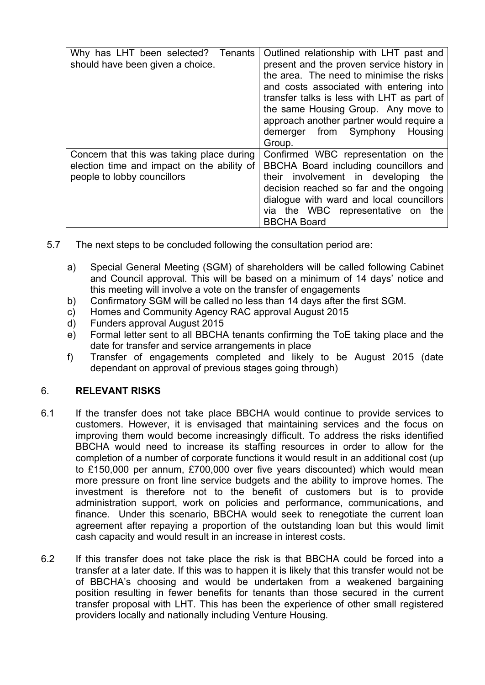| Why has LHT been selected? Tenants<br>should have been given a choice.                                                 | Outlined relationship with LHT past and<br>present and the proven service history in<br>the area. The need to minimise the risks<br>and costs associated with entering into<br>transfer talks is less with LHT as part of<br>the same Housing Group. Any move to<br>approach another partner would require a<br>demerger from Symphony<br>Housing<br>Group. |
|------------------------------------------------------------------------------------------------------------------------|-------------------------------------------------------------------------------------------------------------------------------------------------------------------------------------------------------------------------------------------------------------------------------------------------------------------------------------------------------------|
| Concern that this was taking place during<br>election time and impact on the ability of<br>people to lobby councillors | Confirmed WBC representation on the<br>BBCHA Board including councillors and<br>their involvement in developing<br>the<br>decision reached so far and the ongoing<br>dialogue with ward and local councillors<br>via the WBC representative on the<br><b>BBCHA Board</b>                                                                                    |

- 5.7 The next steps to be concluded following the consultation period are:
	- a) Special General Meeting (SGM) of shareholders will be called following Cabinet and Council approval. This will be based on a minimum of 14 days' notice and this meeting will involve a vote on the transfer of engagements
	- b) Confirmatory SGM will be called no less than 14 days after the first SGM.
	- c) Homes and Community Agency RAC approval August 2015
	- d) Funders approval August 2015
	- e) Formal letter sent to all BBCHA tenants confirming the ToE taking place and the date for transfer and service arrangements in place
	- f) Transfer of engagements completed and likely to be August 2015 (date dependant on approval of previous stages going through)

# 6. **RELEVANT RISKS**

- 6.1 If the transfer does not take place BBCHA would continue to provide services to customers. However, it is envisaged that maintaining services and the focus on improving them would become increasingly difficult. To address the risks identified BBCHA would need to increase its staffing resources in order to allow for the completion of a number of corporate functions it would result in an additional cost (up to £150,000 per annum, £700,000 over five years discounted) which would mean more pressure on front line service budgets and the ability to improve homes. The investment is therefore not to the benefit of customers but is to provide administration support, work on policies and performance, communications, and finance. Under this scenario, BBCHA would seek to renegotiate the current loan agreement after repaying a proportion of the outstanding loan but this would limit cash capacity and would result in an increase in interest costs.
- 6.2 If this transfer does not take place the risk is that BBCHA could be forced into a transfer at a later date. If this was to happen it is likely that this transfer would not be of BBCHA's choosing and would be undertaken from a weakened bargaining position resulting in fewer benefits for tenants than those secured in the current transfer proposal with LHT. This has been the experience of other small registered providers locally and nationally including Venture Housing.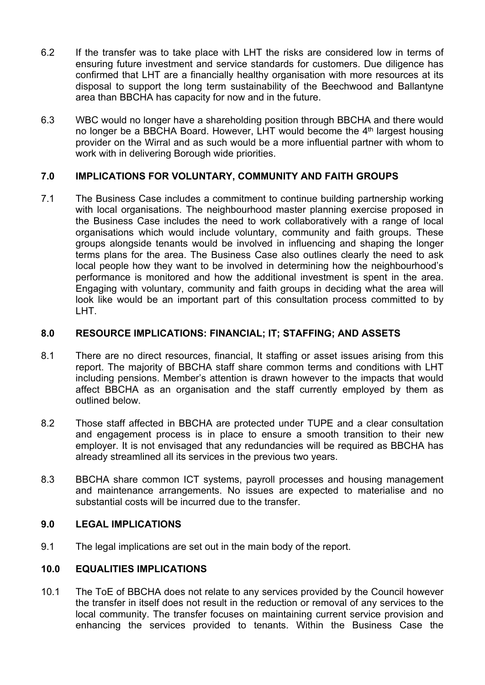- 6.2 If the transfer was to take place with LHT the risks are considered low in terms of ensuring future investment and service standards for customers. Due diligence has confirmed that LHT are a financially healthy organisation with more resources at its disposal to support the long term sustainability of the Beechwood and Ballantyne area than BBCHA has capacity for now and in the future.
- 6.3 WBC would no longer have a shareholding position through BBCHA and there would no longer be a BBCHA Board. However, LHT would become the 4<sup>th</sup> largest housing provider on the Wirral and as such would be a more influential partner with whom to work with in delivering Borough wide priorities.

# **7.0 IMPLICATIONS FOR VOLUNTARY, COMMUNITY AND FAITH GROUPS**

7.1 The Business Case includes a commitment to continue building partnership working with local organisations. The neighbourhood master planning exercise proposed in the Business Case includes the need to work collaboratively with a range of local organisations which would include voluntary, community and faith groups. These groups alongside tenants would be involved in influencing and shaping the longer terms plans for the area. The Business Case also outlines clearly the need to ask local people how they want to be involved in determining how the neighbourhood's performance is monitored and how the additional investment is spent in the area. Engaging with voluntary, community and faith groups in deciding what the area will look like would be an important part of this consultation process committed to by LHT.

# **8.0 RESOURCE IMPLICATIONS: FINANCIAL; IT; STAFFING; AND ASSETS**

- 8.1 There are no direct resources, financial, It staffing or asset issues arising from this report. The majority of BBCHA staff share common terms and conditions with LHT including pensions. Member's attention is drawn however to the impacts that would affect BBCHA as an organisation and the staff currently employed by them as outlined below.
- 8.2 Those staff affected in BBCHA are protected under TUPE and a clear consultation and engagement process is in place to ensure a smooth transition to their new employer. It is not envisaged that any redundancies will be required as BBCHA has already streamlined all its services in the previous two years.
- 8.3 BBCHA share common ICT systems, payroll processes and housing management and maintenance arrangements. No issues are expected to materialise and no substantial costs will be incurred due to the transfer.

#### **9.0 LEGAL IMPLICATIONS**

9.1 The legal implications are set out in the main body of the report.

# **10.0 EQUALITIES IMPLICATIONS**

10.1 The ToE of BBCHA does not relate to any services provided by the Council however the transfer in itself does not result in the reduction or removal of any services to the local community. The transfer focuses on maintaining current service provision and enhancing the services provided to tenants. Within the Business Case the